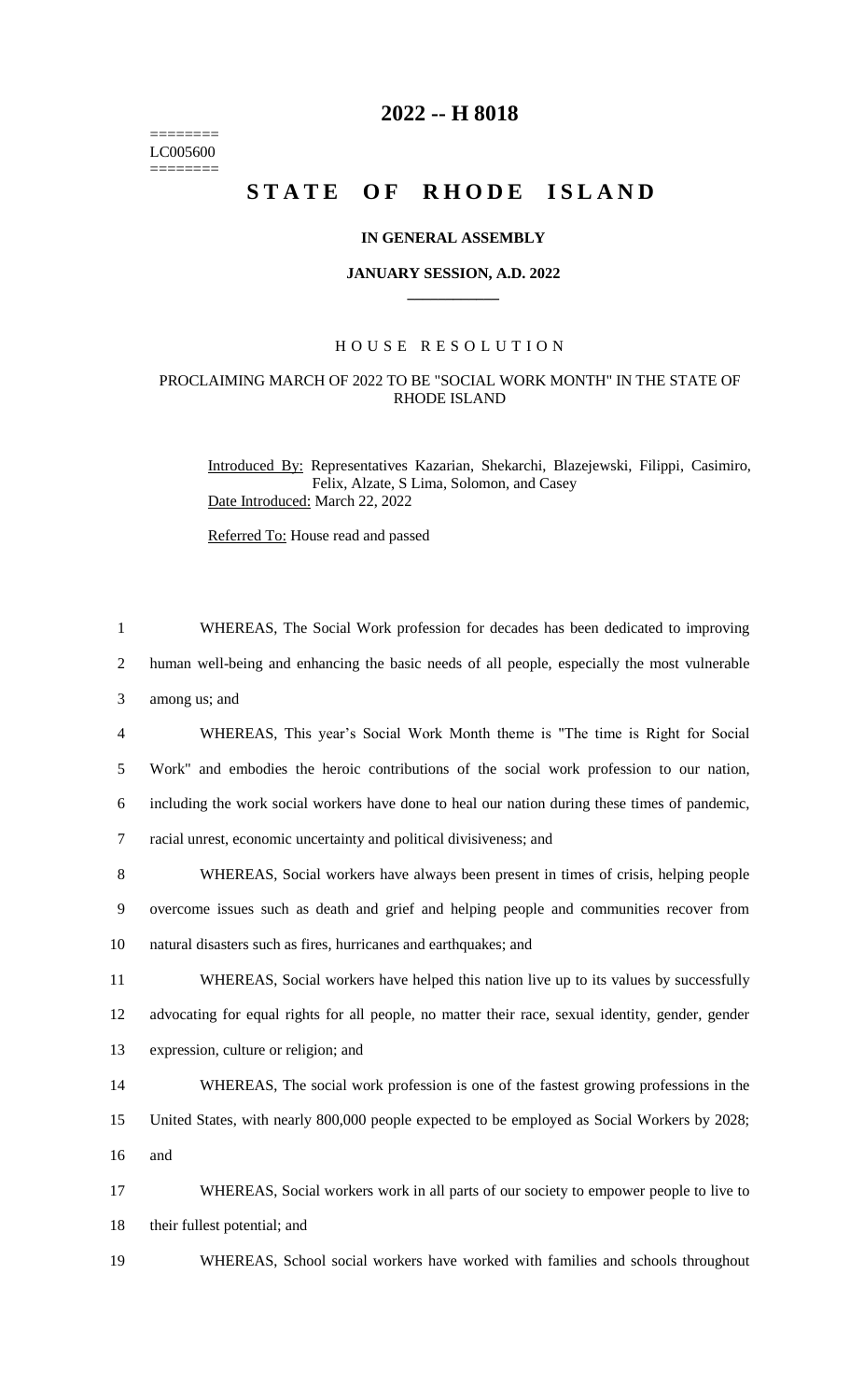======== LC005600  $=$ 

## **2022 -- H 8018**

# **STATE OF RHODE ISLAND**

#### **IN GENERAL ASSEMBLY**

#### **JANUARY SESSION, A.D. 2022 \_\_\_\_\_\_\_\_\_\_\_\_**

#### H O U S E R E S O L U T I O N

### PROCLAIMING MARCH OF 2022 TO BE "SOCIAL WORK MONTH" IN THE STATE OF RHODE ISLAND

Introduced By: Representatives Kazarian, Shekarchi, Blazejewski, Filippi, Casimiro, Felix, Alzate, S Lima, Solomon, and Casey Date Introduced: March 22, 2022

Referred To: House read and passed

| $\mathbf{1}$   | WHEREAS, The Social Work profession for decades has been dedicated to improving                   |
|----------------|---------------------------------------------------------------------------------------------------|
| $\overline{2}$ | human well-being and enhancing the basic needs of all people, especially the most vulnerable      |
| 3              | among us; and                                                                                     |
| $\overline{4}$ | WHEREAS, This year's Social Work Month theme is "The time is Right for Social                     |
| $\mathfrak{S}$ | Work" and embodies the heroic contributions of the social work profession to our nation,          |
| 6              | including the work social workers have done to heal our nation during these times of pandemic,    |
| $\tau$         | racial unrest, economic uncertainty and political divisiveness; and                               |
| 8              | WHEREAS, Social workers have always been present in times of crisis, helping people               |
| 9              | overcome issues such as death and grief and helping people and communities recover from           |
| 10             | natural disasters such as fires, hurricanes and earthquakes; and                                  |
| 11             | WHEREAS, Social workers have helped this nation live up to its values by successfully             |
| 12             | advocating for equal rights for all people, no matter their race, sexual identity, gender, gender |
| 13             | expression, culture or religion; and                                                              |
| 14             | WHEREAS, The social work profession is one of the fastest growing professions in the              |
| 15             | United States, with nearly 800,000 people expected to be employed as Social Workers by 2028;      |
| 16             | and                                                                                               |
| 17             | WHEREAS, Social workers work in all parts of our society to empower people to live to             |
| 18             | their fullest potential; and                                                                      |
| 19             | WHEREAS, School social workers have worked with families and schools throughout                   |